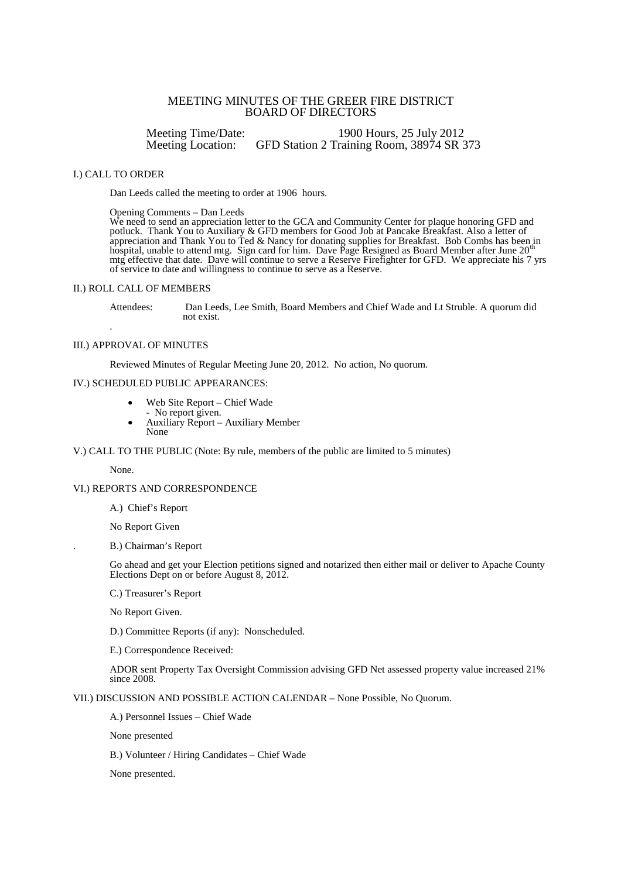# MEETING MINUTES OF THE GREER FIRE DISTRICT BOARD OF DIRECTORS

Meeting Time/Date: 1900 Hours, 25 July 2012<br>Meeting Location: GFD Station 2 Training Room, 38974 SR GFD Station 2 Training Room, 38974 SR 373

### I.) CALL TO ORDER

Dan Leeds called the meeting to order at 1906 hours.

Opening Comments – Dan Leeds

We need to send an appreciation letter to the GCA and Community Center for plaque honoring GFD and potluck. Thank You to Auxiliary & GFD members for Good Job at Pancake Breakfast. Also a letter of appreciation and Thank You to Ted & Nancy for donating supplies for Breakfast. Bob Combs has been in<br>hospital, unable to attend mtg. Sign card for him. Dave Page Resigned as Board Member after June 20<sup>th</sup> mtg effective that date. Dave will continue to serve a Reserve Firefighter for GFD. We appreciate his 7 yrs of service to date and willingness to continue to serve as a Reserve.

#### II.) ROLL CALL OF MEMBERS

Attendees: Dan Leeds, Lee Smith, Board Members and Chief Wade and Lt Struble. A quorum did not exist.

#### III.) APPROVAL OF MINUTES

.

Reviewed Minutes of Regular Meeting June 20, 2012. No action, No quorum.

### IV.) SCHEDULED PUBLIC APPEARANCES:

- Web Site Report Chief Wade
- No report given.
- Auxiliary Report Auxiliary Member None

V.) CALL TO THE PUBLIC (Note: By rule, members of the public are limited to 5 minutes)

None.

## VI.) REPORTS AND CORRESPONDENCE

A.) Chief's Report

No Report Given

. B.) Chairman's Report

Go ahead and get your Election petitions signed and notarized then either mail or deliver to Apache County Elections Dept on or before August 8, 2012.

C.) Treasurer's Report

No Report Given.

D.) Committee Reports (if any): Nonscheduled.

E.) Correspondence Received:

ADOR sent Property Tax Oversight Commission advising GFD Net assessed property value increased 21% since 2008.

VII.) DISCUSSION AND POSSIBLE ACTION CALENDAR – None Possible, No Quorum.

A.) Personnel Issues – Chief Wade

None presented

B.) Volunteer / Hiring Candidates – Chief Wade

None presented.